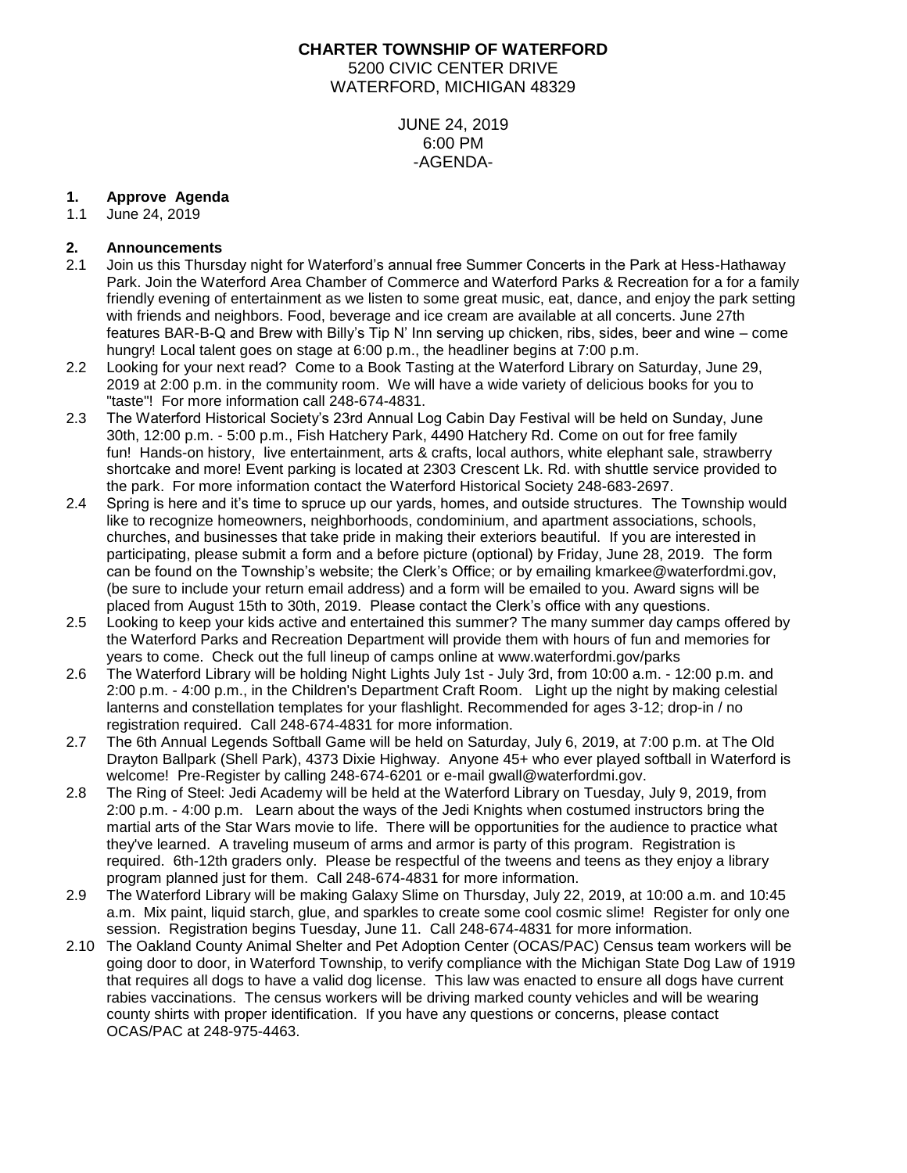# **CHARTER TOWNSHIP OF WATERFORD** 5200 CIVIC CENTER DRIVE WATERFORD, MICHIGAN 48329

JUNE 24, 2019 6:00 PM -AGENDA-

#### **1. Approve Agenda**

1.1 June 24, 2019

# **2. Announcements**

- 2.1 Join us this Thursday night for Waterford's annual free Summer Concerts in the Park at Hess-Hathaway Park. Join the Waterford Area Chamber of Commerce and Waterford Parks & Recreation for a for a family friendly evening of entertainment as we listen to some great music, eat, dance, and enjoy the park setting with friends and neighbors. Food, beverage and ice cream are available at all concerts. June 27th features BAR-B-Q and Brew with Billy's Tip N' Inn serving up chicken, ribs, sides, beer and wine – come hungry! Local talent goes on stage at 6:00 p.m., the headliner begins at 7:00 p.m.
- 2.2 Looking for your next read? Come to a Book Tasting at the Waterford Library on Saturday, June 29, 2019 at 2:00 p.m. in the community room. We will have a wide variety of delicious books for you to "taste"! For more information call 248-674-4831.
- 2.3 The Waterford Historical Society's 23rd Annual Log Cabin Day Festival will be held on Sunday, June 30th, 12:00 p.m. - 5:00 p.m., Fish Hatchery Park, 4490 Hatchery Rd. Come on out for free family fun! Hands-on history, live entertainment, arts & crafts, local authors, white elephant sale, strawberry shortcake and more! Event parking is located at 2303 Crescent Lk. Rd. with shuttle service provided to the park. For more information contact the Waterford Historical Society 248-683-2697.
- 2.4 Spring is here and it's time to spruce up our yards, homes, and outside structures. The Township would like to recognize homeowners, neighborhoods, condominium, and apartment associations, schools, churches, and businesses that take pride in making their exteriors beautiful. If you are interested in participating, please submit a form and a before picture (optional) by Friday, June 28, 2019. The form can be found on the Township's website; the Clerk's Office; or by emailing kmarkee@waterfordmi.gov, (be sure to include your return email address) and a form will be emailed to you. Award signs will be placed from August 15th to 30th, 2019. Please contact the Clerk's office with any questions.
- 2.5 Looking to keep your kids active and entertained this summer? The many summer day camps offered by the Waterford Parks and Recreation Department will provide them with hours of fun and memories for years to come. Check out the full lineup of camps online at www.waterfordmi.gov/parks
- 2.6 The Waterford Library will be holding Night Lights July 1st July 3rd, from 10:00 a.m. 12:00 p.m. and 2:00 p.m. - 4:00 p.m., in the Children's Department Craft Room. Light up the night by making celestial lanterns and constellation templates for your flashlight. Recommended for ages 3-12; drop-in / no registration required. Call 248-674-4831 for more information.
- 2.7 The 6th Annual Legends Softball Game will be held on Saturday, July 6, 2019, at 7:00 p.m. at The Old Drayton Ballpark (Shell Park), 4373 Dixie Highway. Anyone 45+ who ever played softball in Waterford is welcome! Pre-Register by calling 248-674-6201 or e-mail [gwall@waterfordmi.gov.](mailto:gwall@waterfordmi.gov)
- 2.8 The Ring of Steel: Jedi Academy will be held at the Waterford Library on Tuesday, July 9, 2019, from 2:00 p.m. - 4:00 p.m. Learn about the ways of the Jedi Knights when costumed instructors bring the martial arts of the Star Wars movie to life. There will be opportunities for the audience to practice what they've learned. A traveling museum of arms and armor is party of this program. Registration is required. 6th-12th graders only. Please be respectful of the tweens and teens as they enjoy a library program planned just for them. Call 248-674-4831 for more information.
- 2.9 The Waterford Library will be making Galaxy Slime on Thursday, July 22, 2019, at 10:00 a.m. and 10:45 a.m. Mix paint, liquid starch, glue, and sparkles to create some cool cosmic slime! Register for only one session. Registration begins Tuesday, June 11. Call 248-674-4831 for more information.
- 2.10 The Oakland County Animal Shelter and Pet Adoption Center (OCAS/PAC) Census team workers will be going door to door, in Waterford Township, to verify compliance with the Michigan State Dog Law of 1919 that requires all dogs to have a valid dog license. This law was enacted to ensure all dogs have current rabies vaccinations. The census workers will be driving marked county vehicles and will be wearing county shirts with proper identification. If you have any questions or concerns, please contact OCAS/PAC at 248-975-4463.